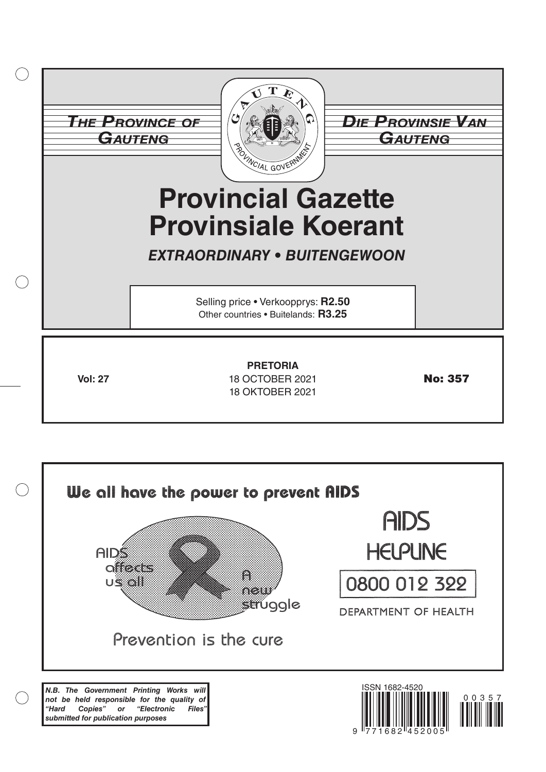|           |                | <b>THE PROVINCE OF</b><br><b>GAUTENG</b><br><b>BOLINCIAL GOVERNM</b><br><b>Provincial Gazette</b><br><b>Provinsiale Koerant</b><br><b>EXTRAORDINARY • BUITENGEWOON</b> | <b>DIE PROVINSIE VAN</b><br><del>Gauteng</del> |
|-----------|----------------|------------------------------------------------------------------------------------------------------------------------------------------------------------------------|------------------------------------------------|
| $\bigcap$ |                | Selling price • Verkoopprys: R2.50<br>Other countries . Buitelands: R3.25                                                                                              |                                                |
|           | <b>Vol: 27</b> | <b>PRETORIA</b><br>18 OCTOBER 2021<br><b>18 OKTOBER 2021</b>                                                                                                           | <b>No: 357</b>                                 |

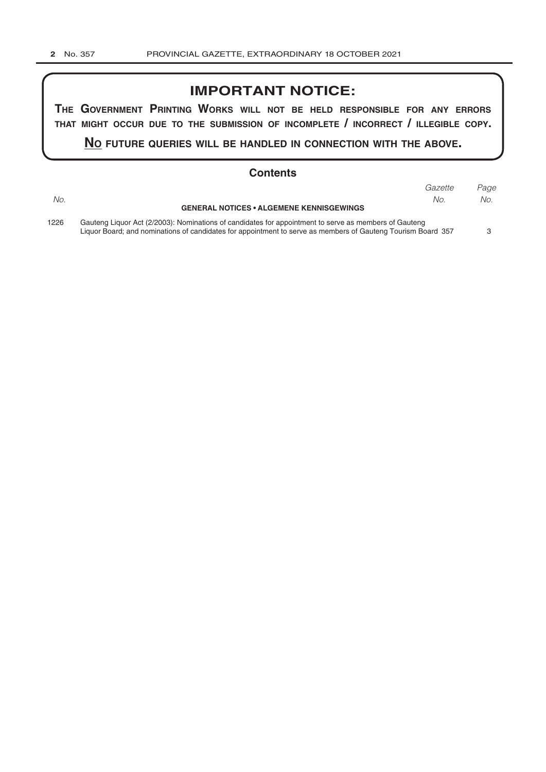#### **IMPORTANT NOTICE:**

**The GovernmenT PrinTinG Works Will noT be held resPonsible for any errors ThaT miGhT occur due To The submission of incomPleTe / incorrecT / illeGible coPy.**

**no fuTure queries Will be handled in connecTion WiTh The above.**

|      | <b>Contents</b>                                                                                       |         |      |
|------|-------------------------------------------------------------------------------------------------------|---------|------|
|      |                                                                                                       | Gazette | Page |
| No.  | <b>GENERAL NOTICES • ALGEMENE KENNISGEWINGS</b>                                                       | No.     | No.  |
|      |                                                                                                       |         |      |
| 1226 | Gauteng Liquor Act (2/2003): Nominations of candidates for appointment to serve as members of Gauteng |         |      |

Liquor Board; and nominations of candidates for appointment to serve as members of Gauteng Tourism Board 357 3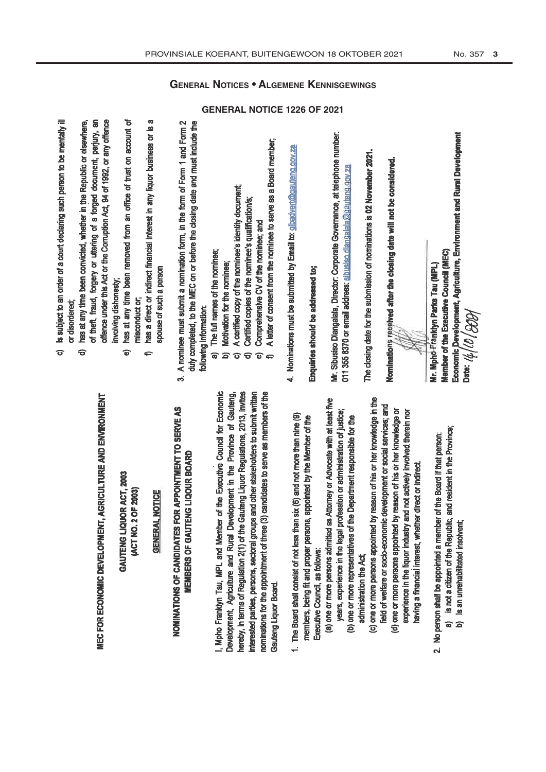GAUTENG LIQUOR ACT, 2003 [ACT NO. 2 OF 2003)

#### **GENERAL NOTICE**

# NOMINATIONS OF CANDIDATES FOR APPOINTMENT TO SERVE AS **MEMBERS OF GAUTENG LIQOUR BOARD**

I. Moho Franklyn Tau, MPL and Member of the Executive Council for Economic hereby, in terms of Regulation 2(1) of the Gauteng Liquor Regulations, 2013, invites interested parties, persons, sectoral groups and other stakeholders to submit written nominations for the appointment of three (3) candidates to serve as members of the Development, Agriculture and Rural Development in the Province of Gauteng, Gauteng Liquor Board.

- 1. The Board shall consist of not less than six (6) and not more than nine (9) members, being fit and proper persons, appointed by the Member of the Executive Council, as follows:
- (a) one or more persons admitted as Attorney or Advocate with at least five years, experience in the legal profession or administration of justice; (b) one or more representatives of the Department responsible for the
	- administration the Act:
- (c) one or more persons appointed by reason of his or her knowledge in the field of welfare or socio-economic development or social services; and
	- (d) one or more persons appointed by reason of his or her knowledge or experience in the liquor industry and not actively involved therein nor having a financial interest, whether direct or indirect.
- 2. No person shall be appointed a member of the Board if that person:
	- is not a citizen of the Republic, and resident in the Province; Is an unrehabilitated insolvent; କ ବ
- Is subject to an order of a court declaring such person to be mentally ill or disordered:  $\sigma$ 
	- of theft, fraud, forgery or uttering of a forged document, perjury, an offence under this Act or the Corruption Act, 94 of 1992, or any offence has at any time been convicted, whether in the Republic or elsewhere, involving dishonesty;  $\widehat{\sigma}$ 
		- has at any time been removed from an office of trust on account of misconduct or,  $\widehat{\mathbf{e}}$
- has a direct or indirect financial interest in any liquor business or is a spouse of such a person  $\Rightarrow$
- 3. A nominee must submit a nomination form, in the form of Form 1 and Form 2 duly completed, to the MEC on or before the closing date and must include the following information:
	- The full names of the nominee:  $\widehat{\mathbf{a}}$
- b) Motivation for the nominee;
- A certified copy of the nominee's identity document:  $\hat{\sigma}$ 
	-
	- Certified copies of the nominee's qualification/s;  $\widehat{\sigma}$
- Comprehensive CV of the nominee: and  $\widehat{\bullet}$
- A letter of consent from the nominee to serve as a Board member,
- 4. Nominations must be submitted by Email to: glbadvert@gauteng.gov.za.

# Enquirles should be addressed to;

Mr. Sibusiso Dlangalala, Director: Corporate Governance, at telephone number. 011 355 8370 or email address: sibusiso diangalala@gautang.gov.za

The closing date for the submission of nominations is 02 November 2021.

Nominations received after the closing date will not be considered.

Economic Development, Agriculture, Environment and Rural Development Member of the Executive Council (MEC) Mr. Mpho Franklyn Parks Tau (MPL) Date:  $\frac{1}{2}$  / $\frac{1}{2}$ 

**GENERAL NOTICES . ALGEMENE KENNISGEWINGS** 

**GENERAL NOTICE 1226 OF 2021**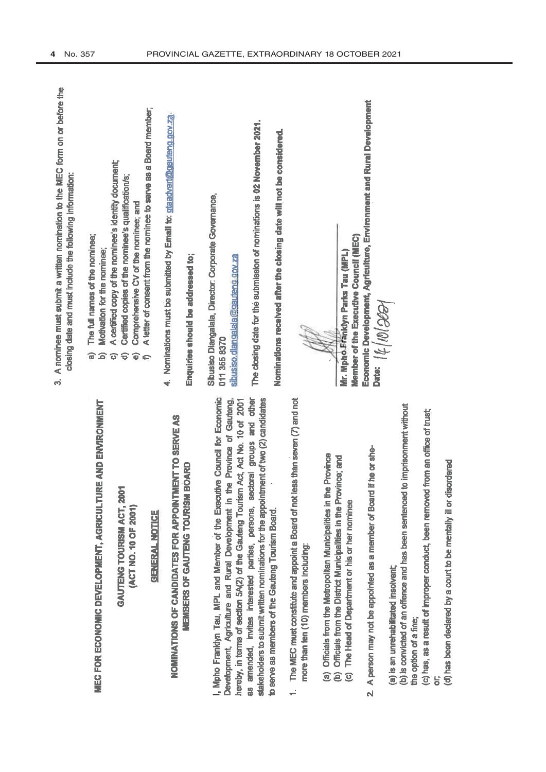|                                                                                                                 | A nominee must submit a written nomination to the MEC form on or before the<br>closing date and must include the following information:<br>က်                                      |
|-----------------------------------------------------------------------------------------------------------------|------------------------------------------------------------------------------------------------------------------------------------------------------------------------------------|
| GRICULTURE AND ENVIRONMENT                                                                                      | The full names of the nominee;<br>Motivation for the nominee;<br>ଗ<br>6                                                                                                            |
| <b>MACT, 2001</b><br>$F$ 2001)                                                                                  | A certified copy of the nominee's identity document;<br>Certified copies of the nominee's qualification/s;<br>Comprehensive CV of the nominee; and<br>$\widehat{\sigma}$<br>ි<br>ତ |
| <b>SHOP</b>                                                                                                     | A letter of consent from the nominee to serve as a Board member,<br>$\bullet$                                                                                                      |
| <b>APPOINTMENT TO SERVE AS</b>                                                                                  | 4. Nominations must be submitted by Email to: glaadvert@gauteng.gov.za                                                                                                             |
| <b>TOURISM BOARD</b>                                                                                            | Enquiries should be addressed to;                                                                                                                                                  |
| the Executive Council for Economic<br>poment in the Province of Gauteng,<br>eng Tourism Act, Act No. 10 of 2001 | Sibusiso Diangalala, Director: Corporate Governance,<br>sibusiso.dlangalala@gauteng.gov.za<br>011 355 8370                                                                         |
| ersons, sectoral groups and other<br>the appointment of two (2) candidates                                      | The closing date for the submission of nominations is 02 November 2021.                                                                                                            |
| Board.                                                                                                          | Nominations received after the closing date will not be considered.                                                                                                                |
| bard of not less than seven (7) and not                                                                         |                                                                                                                                                                                    |
| palities in the Province<br>s in the Province; and                                                              | Mr. Mpho Franklyn Parks Tau (MPL)                                                                                                                                                  |
| nominee                                                                                                         | Member of the Executive Council (MEC)                                                                                                                                              |
| ber of Board if he or she-                                                                                      | Economic Development, Agriculture, Environment and Rural Development<br>Part:  1/0 36                                                                                              |
|                                                                                                                 |                                                                                                                                                                                    |

**MEC FOR ECONOMIC DEVELOPMENT, AO** 

(ACT NO. 10 OI **GAUTENG TOURIS** 

### **GENERAL NO**

**MEMBERS OF GAUTENG** NOMINATIONS OF CANDIDATES FOR

as amended, invites interested parties, po . Mpho Franklyn Tau, MPL and Member of Development, Agriculture and Rural Develo hereby, in terms of section 5A(2) of the Gauto to serve as members of the Gauteng Tourism stakeholders to submit written nominations for

- 1. The MEC must constitute and appoint a Bo more than ten (10) members including:
- 
- (a) Officials from the Metropolitan Municip<br>(b) Officials from the District Municipalities<br>(c) The Head of Department or his or her
	-
- 2. A person may not be appointed as a memb

(a) is an unrehabilitated insolvent;

(b) is convicted of an offence and has been sentenced to imprisonment without (c) has, as a result of improper conduct, been removed from an office of trust; the option of a fine;

 $\overline{\sigma}$ 

(d) has been declared by a court to be mentally ill or disordered